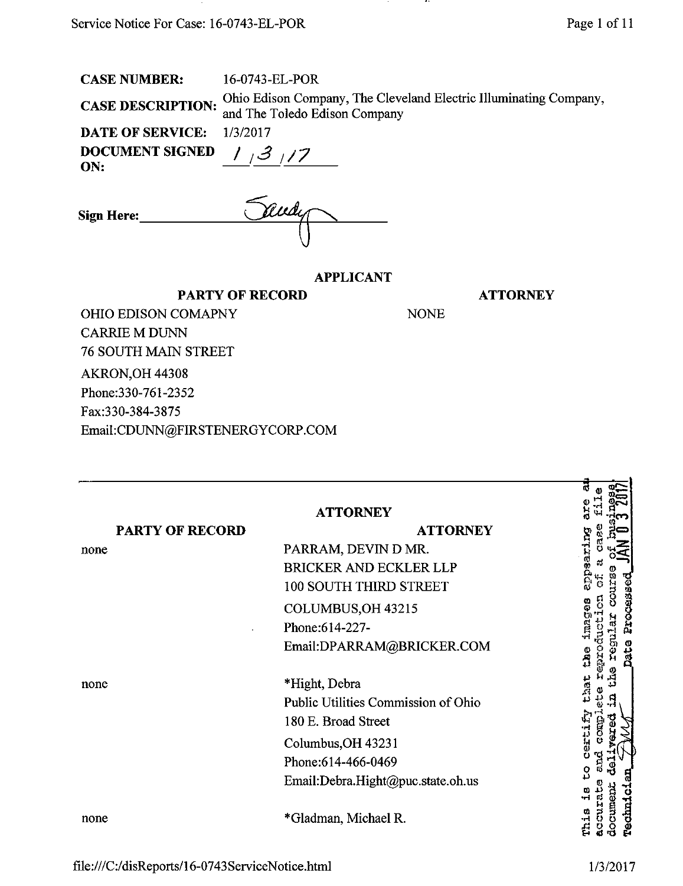| <b>CASE NUMBER:</b> |
|---------------------|
|---------------------|

16-0743-EL-POR  $\alpha_A$  are **DESCRIPTION.** Ohio Edison Company, The Cleveland Electric Illuminating Company, and The Toledo Edison Company

...

DATE OF SERVICE: 1/3/2017 ON:

| DOCUMENT SIGNED $\left  \int_{-\pi}^{x} 3 \right  / 7$ |  |
|--------------------------------------------------------|--|
| ON:                                                    |  |

| <b>Sign Here:</b> | Rudy |
|-------------------|------|
|                   |      |

PARTY OF RECORD

## APPLICANT

**ATTORNEY** 

NONE

OHIO EDISON COMAPNY CARRIE M DUNN 76 SOUTH MAIN STREET AKRON,OH 44308 Phone:330-761-2352 Fax:330-384-3875

Email:[CDUNN@FIRSTENERGYCORP.COM](mailto:CDUNN@FIRSTENERGYCORP.COM) 

|                        | <b>ATTORNEY</b>                     |                                        |
|------------------------|-------------------------------------|----------------------------------------|
| <b>PARTY OF RECORD</b> | <b>ATTORNEY</b>                     |                                        |
| none                   | PARRAM, DEVIN D MR.                 |                                        |
|                        | <b>BRICKER AND ECKLER LLP</b>       |                                        |
|                        | <b>100 SOUTH THIRD STREET</b>       |                                        |
|                        | COLUMBUS, OH 43215                  | Processed                              |
|                        | Phone: 614-227-                     |                                        |
|                        | Email:DPARRAM@BRICKER.COM           | មីនី<br>Data                           |
| none                   | *Hight, Debra                       |                                        |
|                        | Public Utilities Commission of Ohio |                                        |
|                        | 180 E. Broad Street                 |                                        |
|                        | Columbus, OH 43231                  |                                        |
|                        | Phone: 614-466-0469                 |                                        |
|                        | Email:Debra.Hight@puc.state.oh.us   |                                        |
| none                   | *Gladman, Michael R.                | <b>Technici</b><br>documen<br>こじょ<br>Ë |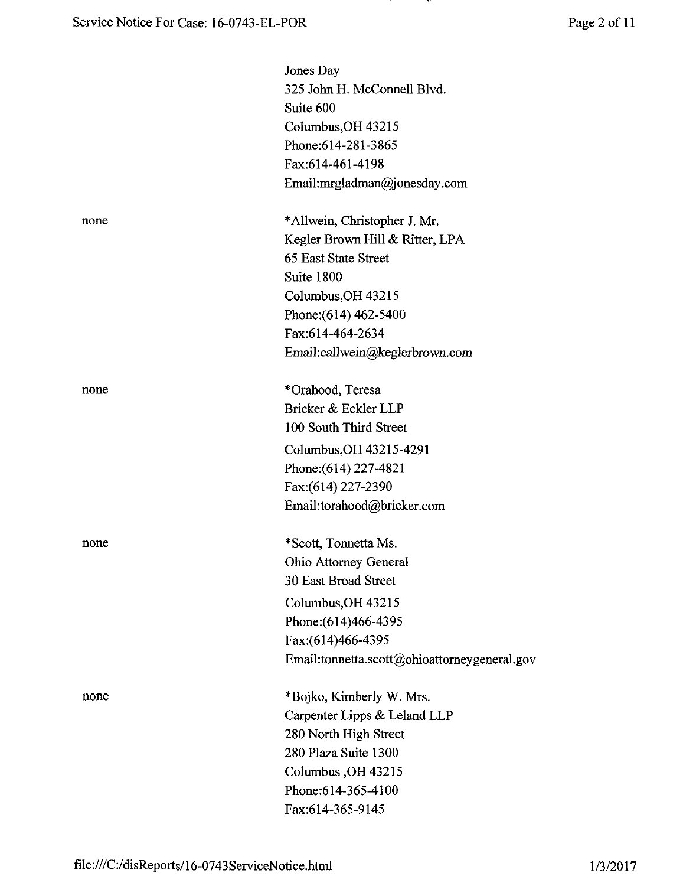**PARTIES** 

|      | Jones Day                                    |
|------|----------------------------------------------|
|      | 325 John H. McConnell Blvd.                  |
|      | Suite 600                                    |
|      | Columbus, OH 43215                           |
|      | Phone: 614-281-3865                          |
|      | Fax:614-461-4198                             |
|      | Email:mrgladman@jonesday.com                 |
| none | *Allwein, Christopher J. Mr.                 |
|      | Kegler Brown Hill & Ritter, LPA              |
|      | 65 East State Street                         |
|      | Suite 1800                                   |
|      | Columbus, OH 43215                           |
|      | Phone: (614) 462-5400                        |
|      | Fax:614-464-2634                             |
|      | Email:callwein@keglerbrown.com               |
| none | *Orahood, Teresa                             |
|      | Bricker & Eckler LLP                         |
|      | 100 South Third Street                       |
|      | Columbus, OH 43215-4291                      |
|      | Phone: (614) 227-4821                        |
|      | Fax:(614) 227-2390                           |
|      | Email:torahood@bricker.com                   |
| none | *Scott, Tonnetta Ms.                         |
|      | Ohio Attorney General                        |
|      | 30 East Broad Street                         |
|      | Columbus, OH 43215                           |
|      | Phone: (614) 466-4395                        |
|      | Fax:(614)466-4395                            |
|      | Email:tonnetta.scott@ohioattorneygeneral.gov |
| none | *Bojko, Kimberly W. Mrs.                     |
|      | Carpenter Lipps & Leland LLP                 |
|      | 280 North High Street                        |
|      | 280 Plaza Suite 1300                         |
|      | Columbus, OH 43215                           |
|      | Phone: 614-365-4100                          |
|      | Fax:614-365-9145                             |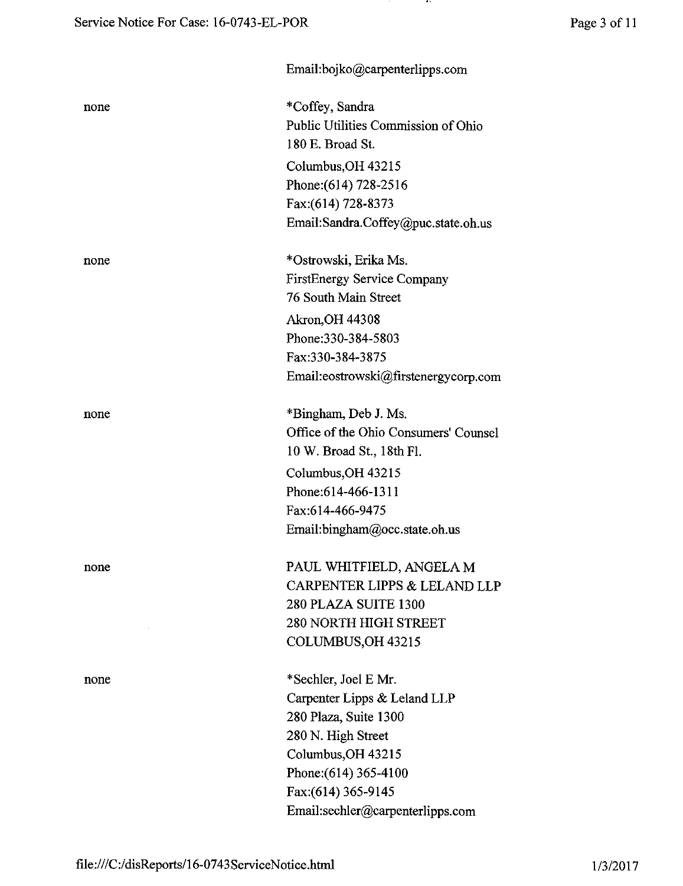- 11

|      | Email:bojko@carpenterlipps.com        |
|------|---------------------------------------|
| none | *Coffey, Sandra                       |
|      | Public Utilities Commission of Ohio   |
|      | 180 E. Broad St.                      |
|      | Columbus, OH 43215                    |
|      | Phone: (614) 728-2516                 |
|      | Fax:(614) 728-8373                    |
|      | Email:Sandra.Coffey@puc.state.oh.us   |
| none | *Ostrowski, Erika Ms.                 |
|      | <b>FirstEnergy Service Company</b>    |
|      | 76 South Main Street                  |
|      | <b>Akron, OH 44308</b>                |
|      | Phone: 330-384-5803                   |
|      | Fax:330-384-3875                      |
|      | Email:eostrowski@firstenergycorp.com  |
| none | *Bingham, Deb J. Ms.                  |
|      | Office of the Ohio Consumers' Counsel |
|      | 10 W. Broad St., 18th Fl.             |
|      | Columbus, OH 43215                    |
|      | Phone: 614-466-1311                   |
|      | Fax:614-466-9475                      |
|      | Email:bingham@occ.state.oh.us         |
| none | PAUL WHITFIELD, ANGELA M              |
|      | CARPENTER LIPPS & LELAND LLP          |
|      | 280 PLAZA SUITE 1300                  |
|      | <b>280 NORTH HIGH STREET</b>          |
|      | COLUMBUS, OH 43215                    |
| none | *Sechler, Joel E Mr.                  |
|      | Carpenter Lipps & Leland LLP          |
|      | 280 Plaza, Suite 1300                 |
|      | 280 N. High Street                    |
|      | Columbus, OH 43215                    |
|      | Phone: (614) 365-4100                 |
|      | Fax:(614) 365-9145                    |
|      | Email:sechler@carpenterlipps.com      |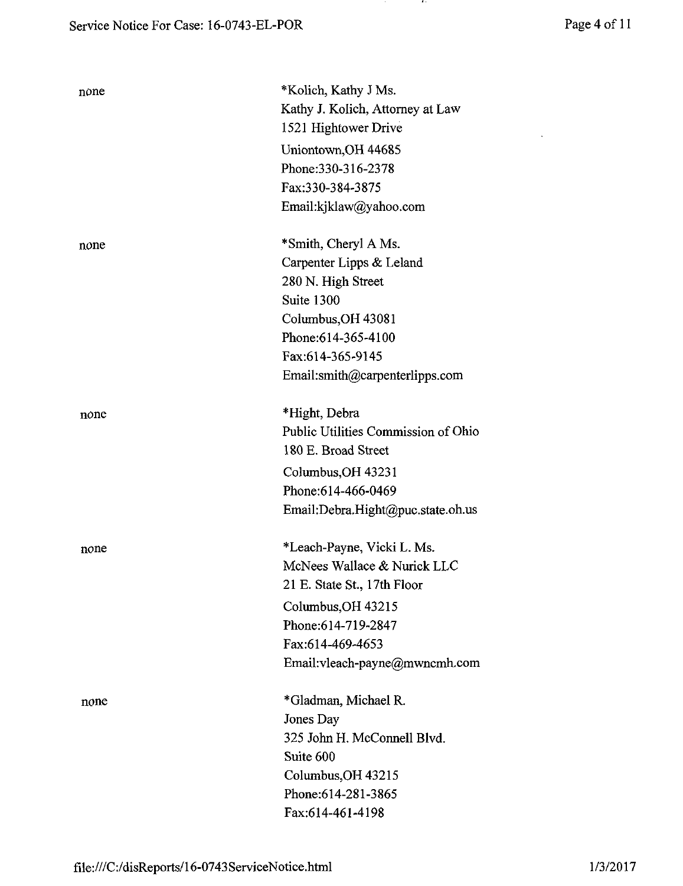| Page 4 of 11 |  |  |
|--------------|--|--|
|              |  |  |

 $\mathcal{L}^{\text{max}}_{\text{max}}$  . The  $\mathcal{L}^{\text{max}}_{\text{max}}$ 

 $\cdots$ 

| none | *Kolich, Kathy J Ms.<br>Kathy J. Kolich, Attorney at Law<br>1521 Hightower Drive<br>Uniontown, OH 44685<br>Phone: 330-316-2378<br>Fax:330-384-3875<br>Email:kjklaw@yahoo.com              |
|------|-------------------------------------------------------------------------------------------------------------------------------------------------------------------------------------------|
| none | *Smith, Cheryl A Ms.<br>Carpenter Lipps & Leland<br>280 N. High Street<br>Suite 1300<br>Columbus, OH 43081<br>Phone: 614-365-4100<br>Fax:614-365-9145<br>Email:smith@carpenterlipps.com   |
| none | *Hight, Debra<br>Public Utilities Commission of Ohio<br>180 E. Broad Street<br>Columbus, OH 43231<br>Phone:614-466-0469<br>Email:Debra.Hight@puc.state.oh.us                              |
| none | *Leach-Payne, Vicki L. Ms.<br>McNees Wallace & Nurick LLC<br>21 E. State St., 17th Floor<br>Columbus, OH 43215<br>Phone:614-719-2847<br>Fax:614-469-4653<br>Email:vleach-payne@mwncmh.com |
| none | *Gladman, Michael R.<br>Jones Day<br>325 John H. McConnell Blvd.<br>Suite 600<br>Columbus, OH 43215<br>Phone: 614-281-3865<br>Fax:614-461-4198                                            |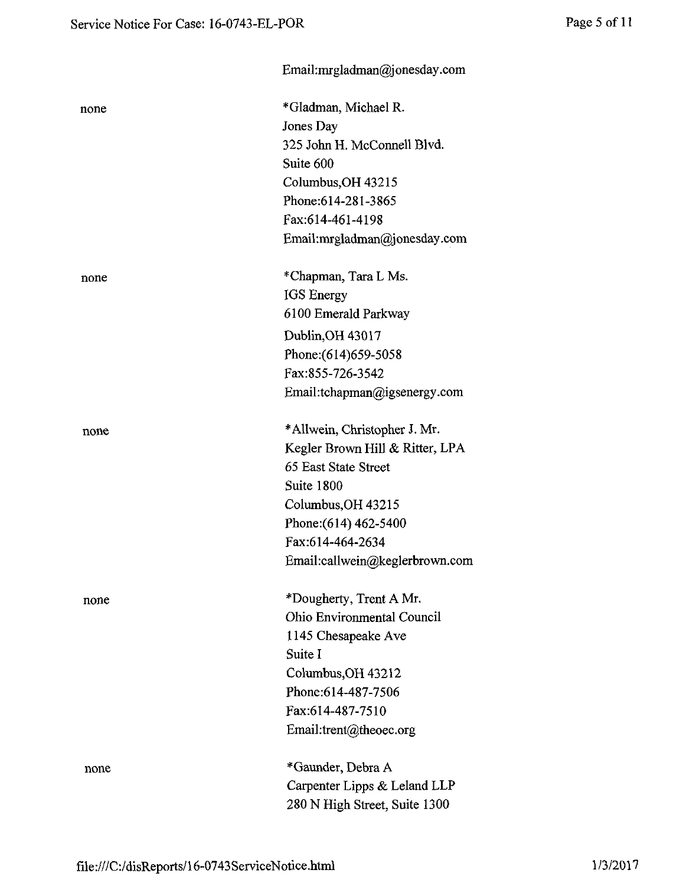|      | Email:mrgladman@jonesday.com    |
|------|---------------------------------|
| none | *Gladman, Michael R.            |
|      | Jones Day                       |
|      | 325 John H. McConnell Blvd.     |
|      | Suite 600                       |
|      | Columbus, OH 43215              |
|      | Phone: 614-281-3865             |
|      | Fax:614-461-4198                |
|      | Email:mrgladman@jonesday.com    |
| none | *Chapman, Tara L Ms.            |
|      | IGS Energy                      |
|      | 6100 Emerald Parkway            |
|      | Dublin, OH 43017                |
|      | Phone: (614) 659-5058           |
|      | Fax:855-726-3542                |
|      | Email:tchapman@igsenergy.com    |
| none | *Allwein, Christopher J. Mr.    |
|      | Kegler Brown Hill & Ritter, LPA |
|      | 65 East State Street            |
|      | Suite 1800                      |
|      | Columbus, OH 43215              |
|      | Phone: (614) 462-5400           |
|      | Fax:614-464-2634                |
|      | Email:callwein@keglerbrown.com  |
| none | *Dougherty, Trent A Mr.         |
|      | Ohio Environmental Council      |
|      | 1145 Chesapeake Ave             |
|      | Suite I                         |
|      | Columbus, OH 43212              |
|      | Phone: 614-487-7506             |
|      | Fax:614-487-7510                |
|      | Email:trent@theoec.org          |
| none | *Gaunder, Debra A               |
|      | Carpenter Lipps & Leland LLP    |
|      | 280 N High Street, Suite 1300   |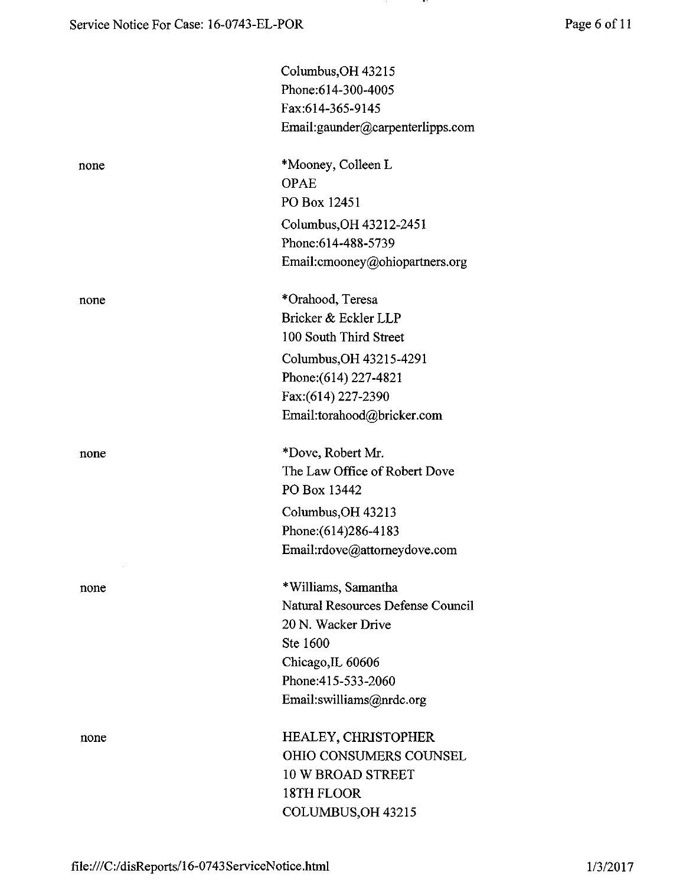**PARTIES** 

|      | Columbus, OH 43215                |
|------|-----------------------------------|
|      | Phone: 614-300-4005               |
|      | Fax:614-365-9145                  |
|      | Email:gaunder@carpenterlipps.com  |
| none | *Mooney, Colleen L                |
|      | <b>OPAE</b>                       |
|      | PO Box 12451                      |
|      | Columbus, OH 43212-2451           |
|      | Phone:614-488-5739                |
|      | Email:cmooney@ohiopartners.org    |
| none | *Orahood, Teresa                  |
|      | Bricker & Eckler LLP              |
|      | 100 South Third Street            |
|      | Columbus, OH 43215-4291           |
|      | Phone: (614) 227-4821             |
|      | Fax:(614) 227-2390                |
|      | Email:torahood@bricker.com        |
| none | *Dove, Robert Mr.                 |
|      | The Law Office of Robert Dove     |
|      | PO Box 13442                      |
|      | Columbus, OH 43213                |
|      | Phone: (614) 286-4183             |
|      | Email:rdove@attorneydove.com      |
| none | *Williams, Samantha               |
|      | Natural Resources Defense Council |
|      | 20 N. Wacker Drive                |
|      | Ste 1600                          |
|      | Chicago, IL 60606                 |
|      | Phone: 415-533-2060               |
|      | Email:swilliams@nrdc.org          |
| none | <b>HEALEY, CHRISTOPHER</b>        |
|      | <b>OHIO CONSUMERS COUNSEL</b>     |
|      | <b>10 W BROAD STREET</b>          |
|      | 18TH FLOOR                        |
|      | COLUMBUS, OH 43215                |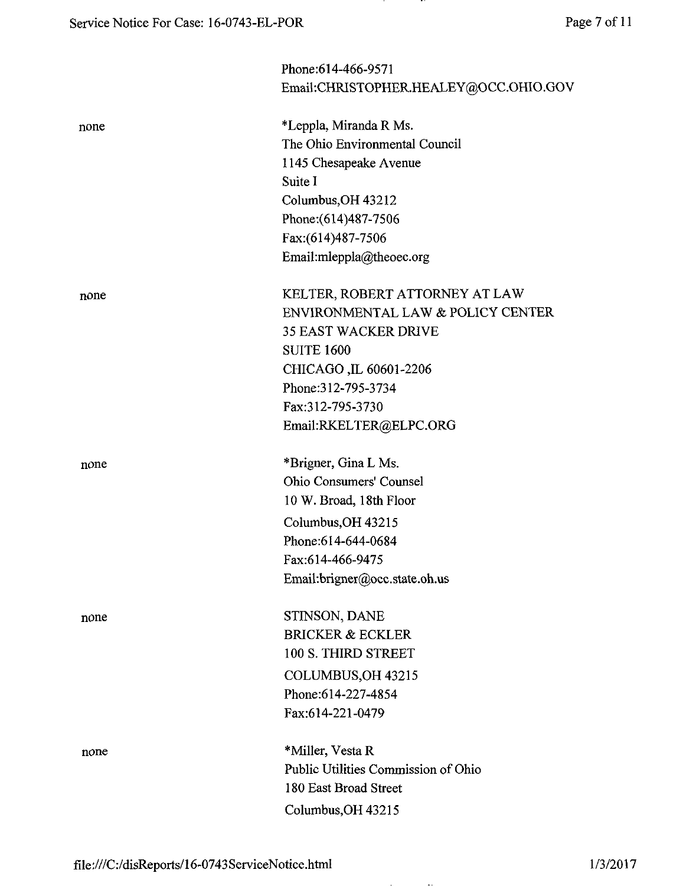|      | Phone: 614-466-9571                   |
|------|---------------------------------------|
|      | Email:CHRISTOPHER.HEALEY@OCC.OHIO.GOV |
| none | *Leppla, Miranda R Ms.                |
|      | The Ohio Environmental Council        |
|      | 1145 Chesapeake Avenue                |
|      | Suite I                               |
|      | Columbus, OH 43212                    |
|      | Phone: (614) 487-7506                 |
|      | Fax:(614)487-7506                     |
|      | Email:mleppla@theoec.org              |
| none | KELTER, ROBERT ATTORNEY AT LAW        |
|      | ENVIRONMENTAL LAW & POLICY CENTER     |
|      | <b>35 EAST WACKER DRIVE</b>           |
|      | <b>SUITE 1600</b>                     |
|      | CHICAGO, IL 60601-2206                |
|      | Phone: 312-795-3734                   |
|      | Fax:312-795-3730                      |
|      | Email:RKELTER@ELPC.ORG                |
| none | *Brigner, Gina L Ms.                  |
|      | Ohio Consumers' Counsel               |
|      | 10 W. Broad, 18th Floor               |
|      | Columbus, OH 43215                    |
|      | Phone: 614-644-0684                   |
|      | Fax:614-466-9475                      |
|      | Email:brigner@occ.state.oh.us         |
| none | STINSON, DANE                         |
|      | <b>BRICKER &amp; ECKLER</b>           |
|      | 100 S. THIRD STREET                   |
|      | COLUMBUS, OH 43215                    |
|      | Phone: 614-227-4854                   |
|      | Fax:614-221-0479                      |
| none | *Miller, Vesta R                      |
|      | Public Utilities Commission of Ohio   |
|      | 180 East Broad Street                 |
|      | Columbus, OH 43215                    |
|      |                                       |

- 77

file;///C:/disReports/16-0743ServiceNotice.html 1/3/2017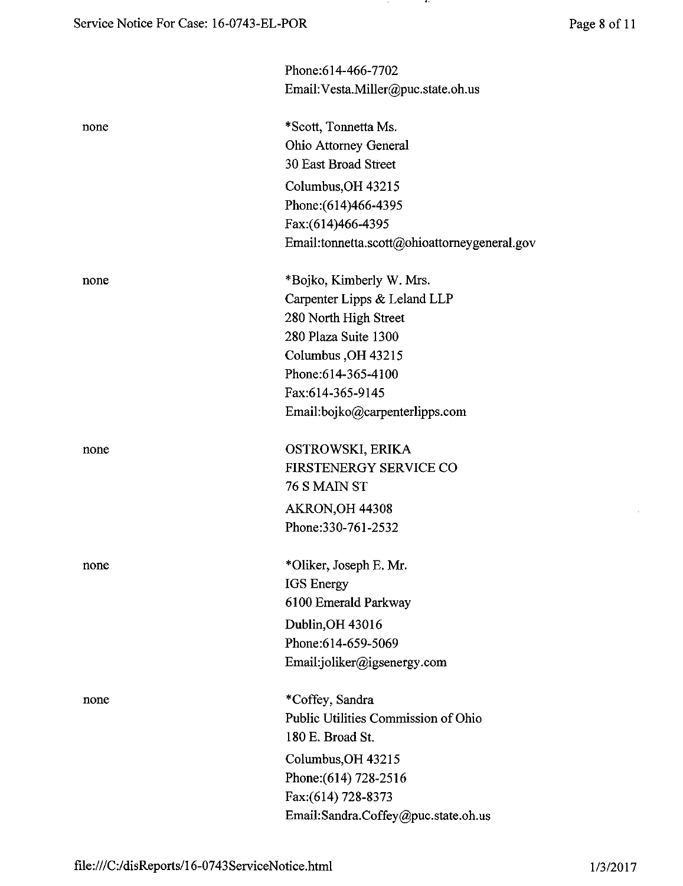|      | Phone:614-466-7702                           |
|------|----------------------------------------------|
|      | Email: Vesta.Miller@puc.state.oh.us          |
| none | *Scott, Tonnetta Ms.                         |
|      | Ohio Attorney General                        |
|      | 30 East Broad Street                         |
|      | Columbus, OH 43215                           |
|      | Phone: (614) 466-4395                        |
|      | Fax:(614)466-4395                            |
|      | Email:tonnetta.scott@ohioattorneygeneral.gov |
| none | *Bojko, Kimberly W. Mrs.                     |
|      | Carpenter Lipps & Leland LLP                 |
|      | 280 North High Street                        |
|      | 280 Plaza Suite 1300                         |
|      | Columbus, OH 43215                           |
|      | Phone:614-365-4100                           |
|      | Fax:614-365-9145                             |
|      | Email:bojko@carpenterlipps.com               |
| none | OSTROWSKI, ERIKA                             |
|      | FIRSTENERGY SERVICE CO                       |
|      | 76 S MAIN ST                                 |
|      | AKRON, OH 44308                              |
|      | Phone:330-761-2532                           |
| none | *Oliker, Joseph E. Mr.                       |
|      | <b>IGS</b> Energy                            |
|      | 6100 Emerald Parkway                         |
|      | Dublin, OH 43016                             |
|      | Phone:614-659-5069                           |
|      | Email:joliker@igsenergy.com                  |
| none | *Coffey, Sandra                              |
|      | Public Utilities Commission of Ohio          |
|      | 180 E. Broad St.                             |
|      | Columbus, OH 43215                           |
|      | Phone: (614) 728-2516                        |
|      | Fax: (614) 728-8373                          |
|      | Email:Sandra.Coffey@puc.state.oh.us          |

 $\epsilon$ 

l,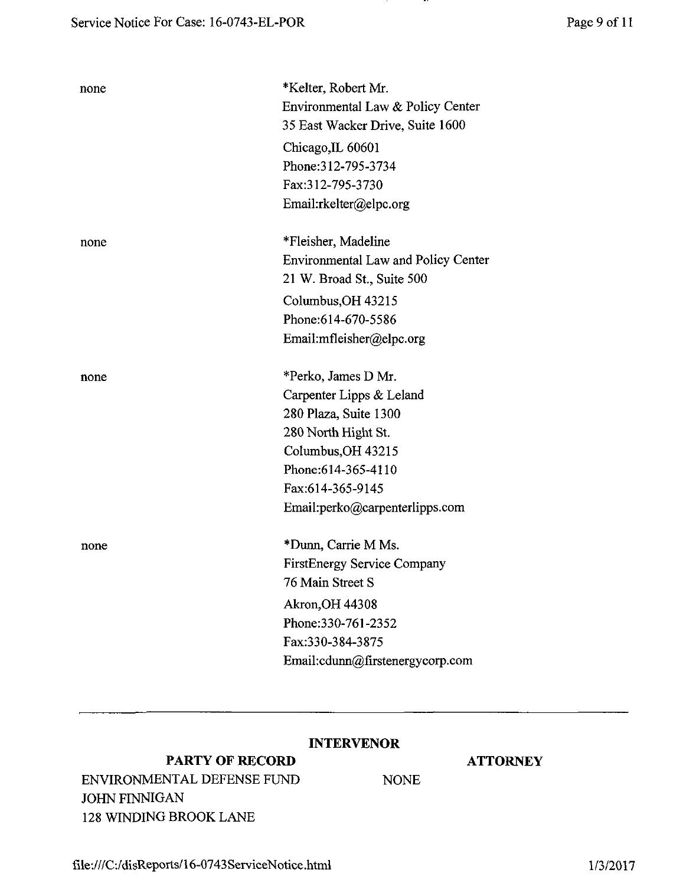| none | *Kelter, Robert Mr.<br>Environmental Law & Policy Center<br>35 East Wacker Drive, Suite 1600<br>Chicago, IL 60601<br>Phone: 312-795-3734<br>Fax:312-795-3730<br>Email:rkelter@elpc.org             |
|------|----------------------------------------------------------------------------------------------------------------------------------------------------------------------------------------------------|
| none | *Fleisher, Madeline<br><b>Environmental Law and Policy Center</b><br>21 W. Broad St., Suite 500<br>Columbus, OH 43215<br>Phone:614-670-5586<br>Email:mfleisher@elpc.org                            |
| none | *Perko, James D Mr.<br>Carpenter Lipps & Leland<br>280 Plaza, Suite 1300<br>280 North Hight St.<br>Columbus, OH 43215<br>Phone: 614-365-4110<br>Fax:614-365-9145<br>Email:perko@carpenterlipps.com |
| none | *Dunn, Carrie M Ms.<br><b>FirstEnergy Service Company</b><br>76 Main Street S<br><b>Akron, OH 44308</b><br>Phone: 330-761-2352<br>Fax:330-384-3875<br>Email:cdunn@firstenergycorp.com              |

# INTERVENOR

# PARTY OF RECORD ATTORNEY

ENVIRONMENTAL DEFENSE FUND NONE JOHN FINNIGAN 128 WINDING BROOK LANE

..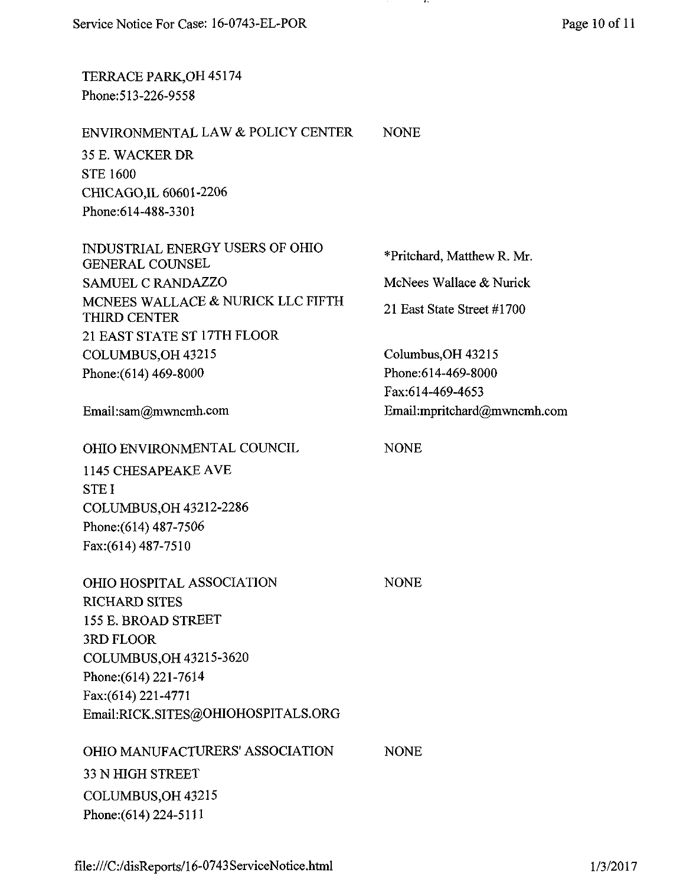TERRACE PARK,OH 45174 Phone:513-226-9558

### ENVIRONMENTAL LAW & POLICY CENTER NONE

35 E. WACKER DR STE 1600 CHICAGO,IL 60601-2206 Phone:614-488-3301

INDUSTRIAL ENERGY USERS OF OHIO GENERAL COUNSEL SAMUEL C RANDAZZO MCNEES WALLACE & NURICK LLC FIFTH THIRD CENTER 21 EAST STATE ST 17TH FLOOR COLUMBUS,OH 43215 Phone: (614) 469-8000

Email:[sam@mwncmh.com](mailto:sam@mwncmh.com) 

OHIO ENVIRONMENTAL COUNCIL

1145 CHESAPEAKE AVE STE I COLUMBUS,OH 43212-2286 Phone: (614) 487-7506 Fax:(614)487-7510

| <b>OHIO HOSPITAL ASSOCIATION</b>   | <b>NONE</b> |
|------------------------------------|-------------|
| <b>RICHARD SITES</b>               |             |
| 155 E. BROAD STREET                |             |
| 3RD FLOOR                          |             |
| COLUMBUS, OH 43215-3620            |             |
| Phone: (614) 221-7614              |             |
| Fax: (614) 221-4771                |             |
| Email:RICK.SITES@OHIOHOSPITALS.ORG |             |
| OHIO MANUFACTURERS' ASSOCIATION    | <b>NONE</b> |
| 33 N HIGH STREET                   |             |

33 N HIGH STREET COLUMBUS,OH 43215 Phone:(614)224-5111

\*Pritchard, Matthew R. Mr. McNees Wallace & Nurick 21 East State Street #1700

Columbus,OH 43215 Phone:614-469-8000 Fax:614-469-4653 Email :[mpritchard@mvmcmh.com](mailto:mpritchard@mvmcmh.com)

# NONE

 $\sqrt{\mathrm{E}}$